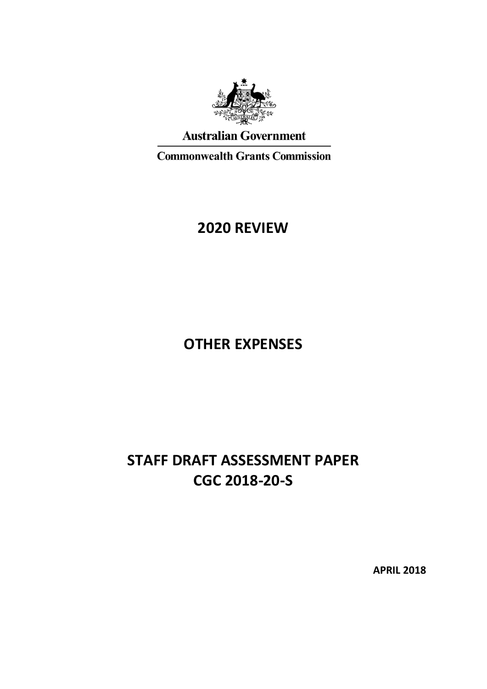

## **Australian Government**

**Commonwealth Grants Commission** 

## **2020 REVIEW**

# **OTHER EXPENSES**

# **STAFF DRAFT ASSESSMENT PAPER CGC 2018-20-S**

**APRIL 2018**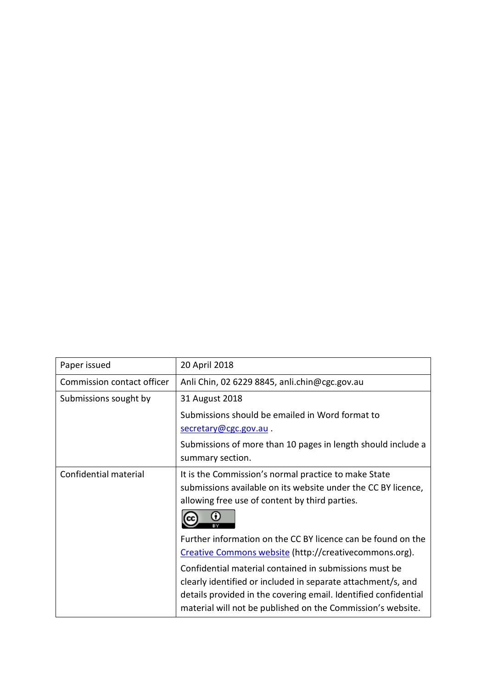| Paper issued               | 20 April 2018                                                                                                                                                                                                                                            |
|----------------------------|----------------------------------------------------------------------------------------------------------------------------------------------------------------------------------------------------------------------------------------------------------|
| Commission contact officer | Anli Chin, 02 6229 8845, anli.chin@cgc.gov.au                                                                                                                                                                                                            |
| Submissions sought by      | 31 August 2018                                                                                                                                                                                                                                           |
|                            | Submissions should be emailed in Word format to<br>secretary@cgc.gov.au.                                                                                                                                                                                 |
|                            | Submissions of more than 10 pages in length should include a<br>summary section.                                                                                                                                                                         |
| Confidential material      | It is the Commission's normal practice to make State<br>submissions available on its website under the CC BY licence,<br>allowing free use of content by third parties.<br>$\bf{O}$                                                                      |
|                            | Further information on the CC BY licence can be found on the<br>Creative Commons website (http://creativecommons.org).                                                                                                                                   |
|                            | Confidential material contained in submissions must be<br>clearly identified or included in separate attachment/s, and<br>details provided in the covering email. Identified confidential<br>material will not be published on the Commission's website. |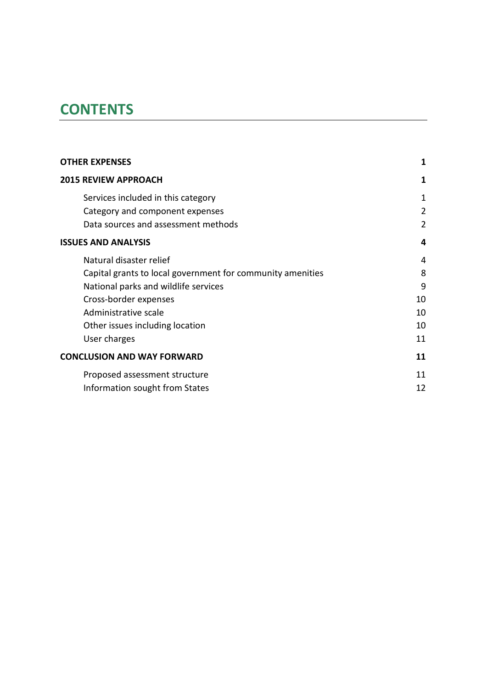# **CONTENTS**

| <b>OTHER EXPENSES</b>                                      |                |  |
|------------------------------------------------------------|----------------|--|
| <b>2015 REVIEW APPROACH</b>                                | 1              |  |
| Services included in this category                         | 1              |  |
| Category and component expenses                            | $\overline{2}$ |  |
| Data sources and assessment methods                        | $\overline{2}$ |  |
| <b>ISSUES AND ANALYSIS</b>                                 | 4              |  |
| Natural disaster relief                                    | 4              |  |
| Capital grants to local government for community amenities | 8              |  |
| National parks and wildlife services                       | 9              |  |
| Cross-border expenses                                      | 10             |  |
| Administrative scale                                       | 10             |  |
| Other issues including location                            | 10             |  |
| User charges                                               | 11             |  |
| <b>CONCLUSION AND WAY FORWARD</b>                          | 11             |  |
| Proposed assessment structure                              | 11             |  |
| Information sought from States                             | 12             |  |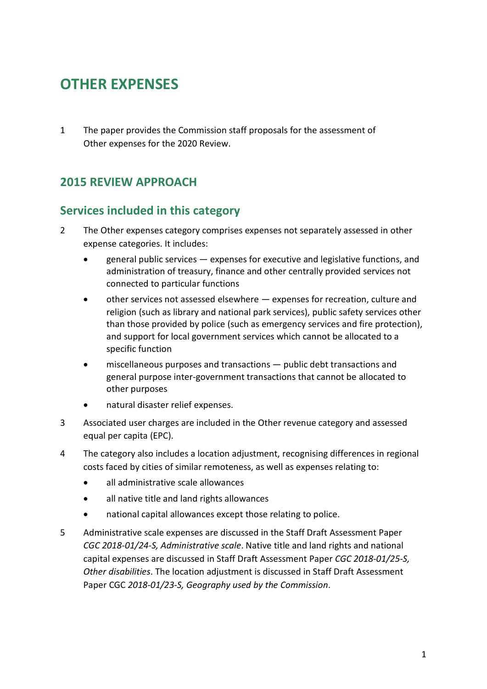# <span id="page-3-0"></span>**OTHER EXPENSES**

1 The paper provides the Commission staff proposals for the assessment of Other expenses for the 2020 Review.

## <span id="page-3-1"></span>**2015 REVIEW APPROACH**

### <span id="page-3-2"></span>**Services included in this category**

- 2 The Other expenses category comprises expenses not separately assessed in other expense categories. It includes:
	- general public services expenses for executive and legislative functions, and administration of treasury, finance and other centrally provided services not connected to particular functions
	- other services not assessed elsewhere expenses for recreation, culture and religion (such as library and national park services), public safety services other than those provided by police (such as emergency services and fire protection), and support for local government services which cannot be allocated to a specific function
	- miscellaneous purposes and transactions public debt transactions and general purpose inter-government transactions that cannot be allocated to other purposes
	- natural disaster relief expenses.
- 3 Associated user charges are included in the Other revenue category and assessed equal per capita (EPC).
- 4 The category also includes a location adjustment, recognising differences in regional costs faced by cities of similar remoteness, as well as expenses relating to:
	- all administrative scale allowances
	- all native title and land rights allowances
	- national capital allowances except those relating to police.
- 5 Administrative scale expenses are discussed in the Staff Draft Assessment Paper *CGC 2018-01/24-S, Administrative scale*. Native title and land rights and national capital expenses are discussed in Staff Draft Assessment Paper *CGC 2018-01/25-S, Other disabilities*. The location adjustment is discussed in Staff Draft Assessment Paper CGC *2018-01/23-S, Geography used by the Commission*.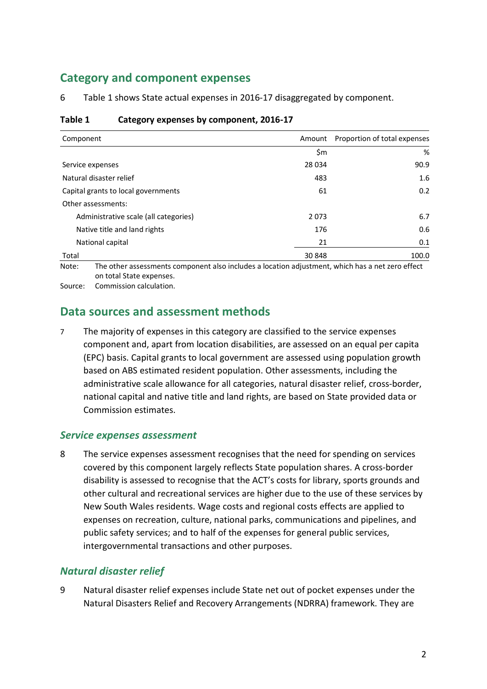## <span id="page-4-0"></span>**Category and component expenses**

6 [Table 1](#page-4-2) shows State actual expenses in 2016-17 disaggregated by component.

| Component                             | Amount  | Proportion of total expenses |
|---------------------------------------|---------|------------------------------|
|                                       | \$m     | %                            |
| Service expenses                      | 28 0 34 | 90.9                         |
| Natural disaster relief               | 483     | 1.6                          |
| Capital grants to local governments   | 61      | 0.2                          |
| Other assessments:                    |         |                              |
| Administrative scale (all categories) | 2073    | 6.7                          |
| Native title and land rights          | 176     | 0.6                          |
| National capital                      | 21      | 0.1                          |
| Total                                 | 30 848  | 100.0                        |

#### <span id="page-4-2"></span>**Table 1 Category expenses by component, 2016-17**

Note: The other assessments component also includes a location adjustment, which has a net zero effect on total State expenses.

<span id="page-4-1"></span>Source: Commission calculation.

#### **Data sources and assessment methods**

7 The majority of expenses in this category are classified to the service expenses component and, apart from location disabilities, are assessed on an equal per capita (EPC) basis. Capital grants to local government are assessed using population growth based on ABS estimated resident population. Other assessments, including the administrative scale allowance for all categories, natural disaster relief, cross-border, national capital and native title and land rights, are based on State provided data or Commission estimates.

#### *Service expenses assessment*

8 The service expenses assessment recognises that the need for spending on services covered by this component largely reflects State population shares. A cross-border disability is assessed to recognise that the ACT's costs for library, sports grounds and other cultural and recreational services are higher due to the use of these services by New South Wales residents. Wage costs and regional costs effects are applied to expenses on recreation, culture, national parks, communications and pipelines, and public safety services; and to half of the expenses for general public services, intergovernmental transactions and other purposes.

#### *Natural disaster relief*

9 Natural disaster relief expenses include State net out of pocket expenses under the Natural Disasters Relief and Recovery Arrangements (NDRRA) framework. They are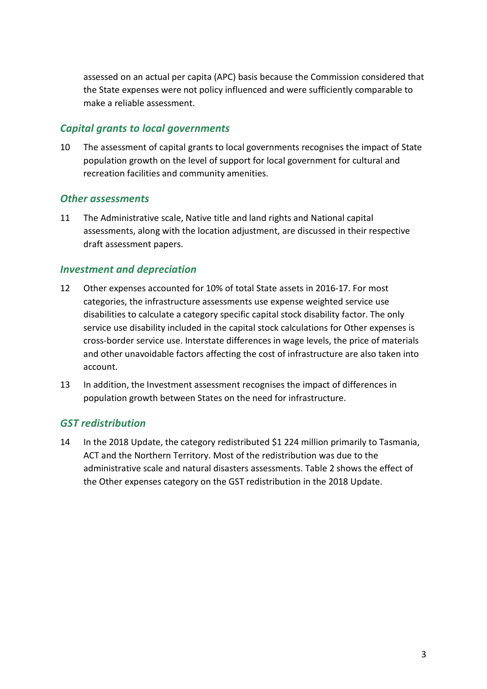assessed on an actual per capita (APC) basis because the Commission considered that the State expenses were not policy influenced and were sufficiently comparable to make a reliable assessment.

#### *Capital grants to local governments*

10 The assessment of capital grants to local governments recognises the impact of State population growth on the level of support for local government for cultural and recreation facilities and community amenities.

#### *Other assessments*

11 The Administrative scale, Native title and land rights and National capital assessments, along with the location adjustment, are discussed in their respective draft assessment papers.

#### *Investment and depreciation*

- 12 Other expenses accounted for 10% of total State assets in 2016-17. For most categories, the infrastructure assessments use expense weighted service use disabilities to calculate a category specific capital stock disability factor. The only service use disability included in the capital stock calculations for Other expenses is cross-border service use. Interstate differences in wage levels, the price of materials and other unavoidable factors affecting the cost of infrastructure are also taken into account.
- 13 In addition, the Investment assessment recognises the impact of differences in population growth between States on the need for infrastructure.

#### *GST redistribution*

14 In the 2018 Update, the category redistributed \$1 224 million primarily to Tasmania, ACT and the Northern Territory. Most of the redistribution was due to the administrative scale and natural disasters assessments. [Table 2](#page-6-2) shows the effect of the Other expenses category on the GST redistribution in the 2018 Update.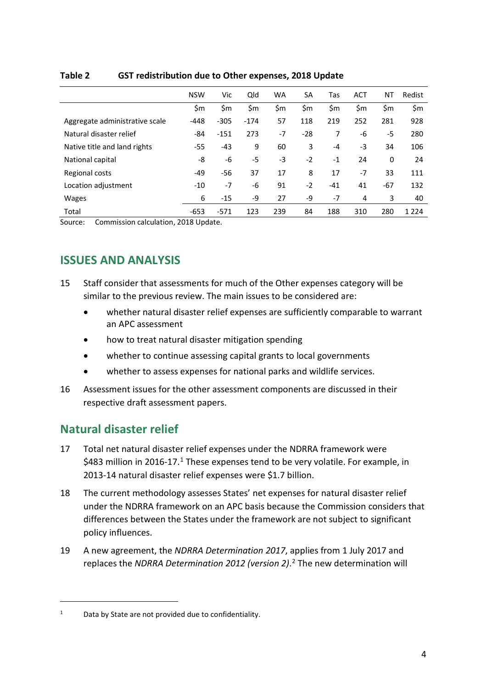|                                | <b>NSW</b> | Vic    | Qld    | <b>WA</b> | SA    | Tas   | <b>ACT</b> | ΝT    | Redist  |
|--------------------------------|------------|--------|--------|-----------|-------|-------|------------|-------|---------|
|                                | \$m        | \$m    | \$m    | \$m       | \$m   | \$m   | \$m        | \$m   | \$m     |
| Aggregate administrative scale | $-448$     | $-305$ | $-174$ | 57        | 118   | 219   | 252        | 281   | 928     |
| Natural disaster relief        | -84        | $-151$ | 273    | $-7$      | $-28$ | 7     | -6         | -5    | 280     |
| Native title and land rights   | $-55$      | -43    | 9      | 60        | 3     | $-4$  | -3         | 34    | 106     |
| National capital               | -8         | -6     | $-5$   | -3        | $-2$  | $-1$  | 24         | 0     | 24      |
| Regional costs                 | $-49$      | -56    | 37     | 17        | 8     | 17    | $-7$       | 33    | 111     |
| Location adjustment            | $-10$      | $-7$   | -6     | 91        | $-2$  | $-41$ | 41         | $-67$ | 132     |
| <b>Wages</b>                   | 6          | $-15$  | -9     | 27        | -9    | $-7$  | 4          | 3     | 40      |
| Total                          | $-653$     | $-571$ | 123    | 239       | 84    | 188   | 310        | 280   | 1 2 2 4 |

#### <span id="page-6-2"></span>**Table 2 GST redistribution due to Other expenses, 2018 Update**

<span id="page-6-0"></span>Source: Commission calculation, 2018 Update.

## **ISSUES AND ANALYSIS**

- 15 Staff consider that assessments for much of the Other expenses category will be similar to the previous review. The main issues to be considered are:
	- whether natural disaster relief expenses are sufficiently comparable to warrant an APC assessment
	- how to treat natural disaster mitigation spending
	- whether to continue assessing capital grants to local governments
	- whether to assess expenses for national parks and wildlife services.
- 16 Assessment issues for the other assessment components are discussed in their respective draft assessment papers.

## <span id="page-6-1"></span>**Natural disaster relief**

- 17 Total net natural disaster relief expenses under the NDRRA framework were \$483 million in 20[1](#page-6-3)6-17.<sup>1</sup> These expenses tend to be very volatile. For example, in 2013-14 natural disaster relief expenses were \$1.7 billion.
- 18 The current methodology assesses States' net expenses for natural disaster relief under the NDRRA framework on an APC basis because the Commission considers that differences between the States under the framework are not subject to significant policy influences.
- <span id="page-6-4"></span>19 A new agreement, the *NDRRA Determination 2017*, applies from 1 July 2017 and replaces the *NDRRA Determination 2012 (version 2)*. [2](#page-6-4) The new determination will

<span id="page-6-3"></span><sup>&</sup>lt;sup>1</sup> Data by State are not provided due to confidentiality.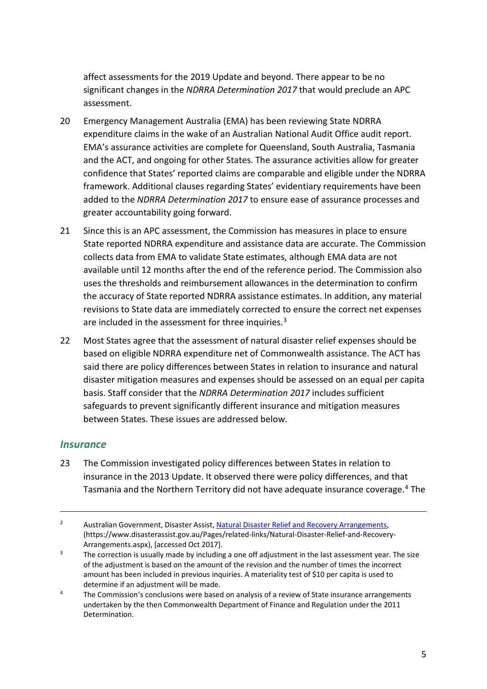affect assessments for the 2019 Update and beyond. There appear to be no significant changes in the *NDRRA Determination 2017* that would preclude an APC assessment.

- 20 Emergency Management Australia (EMA) has been reviewing State NDRRA expenditure claims in the wake of an Australian National Audit Office audit report. EMA's assurance activities are complete for Queensland, South Australia, Tasmania and the ACT, and ongoing for other States. The assurance activities allow for greater confidence that States' reported claims are comparable and eligible under the NDRRA framework. Additional clauses regarding States' evidentiary requirements have been added to the *NDRRA Determination 2017* to ensure ease of assurance processes and greater accountability going forward.
- 21 Since this is an APC assessment, the Commission has measures in place to ensure State reported NDRRA expenditure and assistance data are accurate. The Commission collects data from EMA to validate State estimates, although EMA data are not available until 12 months after the end of the reference period. The Commission also uses the thresholds and reimbursement allowances in the determination to confirm the accuracy of State reported NDRRA assistance estimates. In addition, any material revisions to State data are immediately corrected to ensure the correct net expenses are included in the assessment for three inquiries.<sup>[3](#page-7-0)</sup>
- 22 Most States agree that the assessment of natural disaster relief expenses should be based on eligible NDRRA expenditure net of Commonwealth assistance. The ACT has said there are policy differences between States in relation to insurance and natural disaster mitigation measures and expenses should be assessed on an equal per capita basis. Staff consider that the *NDRRA Determination 2017* includes sufficient safeguards to prevent significantly different insurance and mitigation measures between States. These issues are addressed below.

#### *Insurance*

 $\overline{a}$ 

23 The Commission investigated policy differences between States in relation to insurance in the 2013 Update. It observed there were policy differences, and that Tasmania and the Northern Territory did not have adequate insurance coverage.[4](#page-7-1) The

<sup>&</sup>lt;sup>2</sup> Australian Government, Disaster Assist[, Natural Disaster Relief and](https://www.disasterassist.gov.au/Pages/related-links/Natural-Disaster-Relief-and-Recovery-Arrangements.aspx) Recovery Arrangements, (https://www.disasterassist.gov.au/Pages/related-links/Natural-Disaster-Relief-and-Recovery-Arrangements.aspx), [accessed Oct 2017].

<span id="page-7-0"></span> $3$  The correction is usually made by including a one off adjustment in the last assessment year. The size of the adjustment is based on the amount of the revision and the number of times the incorrect amount has been included in previous inquiries. A materiality test of \$10 per capita is used to determine if an adjustment will be made.

<span id="page-7-1"></span><sup>&</sup>lt;sup>4</sup> The Commission's conclusions were based on analysis of a review of State insurance arrangements undertaken by the then Commonwealth Department of Finance and Regulation under the 2011 Determination.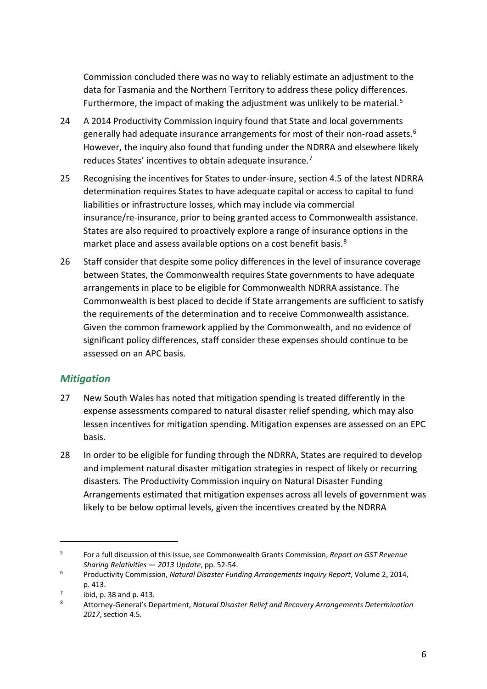Commission concluded there was no way to reliably estimate an adjustment to the data for Tasmania and the Northern Territory to address these policy differences. Furthermore, the impact of making the adjustment was unlikely to be material.<sup>[5](#page-8-0)</sup>

- 24 A 2014 Productivity Commission inquiry found that State and local governments generally had adequate insurance arrangements for most of their non-road assets.[6](#page-8-1) However, the inquiry also found that funding under the NDRRA and elsewhere likely reduces States' incentives to obtain adequate insurance.[7](#page-8-2)
- 25 Recognising the incentives for States to under-insure, section 4.5 of the latest NDRRA determination requires States to have adequate capital or access to capital to fund liabilities or infrastructure losses, which may include via commercial insurance/re-insurance, prior to being granted access to Commonwealth assistance. States are also required to proactively explore a range of insurance options in the market place and assess available options on a cost benefit basis.<sup>[8](#page-8-3)</sup>
- 26 Staff consider that despite some policy differences in the level of insurance coverage between States, the Commonwealth requires State governments to have adequate arrangements in place to be eligible for Commonwealth NDRRA assistance. The Commonwealth is best placed to decide if State arrangements are sufficient to satisfy the requirements of the determination and to receive Commonwealth assistance. Given the common framework applied by the Commonwealth, and no evidence of significant policy differences, staff consider these expenses should continue to be assessed on an APC basis.

#### *Mitigation*

- 27 New South Wales has noted that mitigation spending is treated differently in the expense assessments compared to natural disaster relief spending, which may also lessen incentives for mitigation spending. Mitigation expenses are assessed on an EPC basis.
- 28 In order to be eligible for funding through the NDRRA, States are required to develop and implement natural disaster mitigation strategies in respect of likely or recurring disasters. The Productivity Commission inquiry on Natural Disaster Funding Arrangements estimated that mitigation expenses across all levels of government was likely to be below optimal levels, given the incentives created by the NDRRA

<span id="page-8-0"></span><sup>5</sup> For a full discussion of this issue, see Commonwealth Grants Commission, *Report on GST Revenue Sharing Relativities — 2013 Update*, pp. 52-54. 6 Productivity Commission, *Natural Disaster Funding Arrangements Inquiry Report*, Volume 2, 2014,

<span id="page-8-1"></span>p. 413.

<span id="page-8-2"></span> $\frac{7}{8}$  ibid, p. 38 and p. 413.

<span id="page-8-3"></span><sup>8</sup> Attorney-General's Department, *Natural Disaster Relief and Recovery Arrangements Determination 2017*, section 4.5.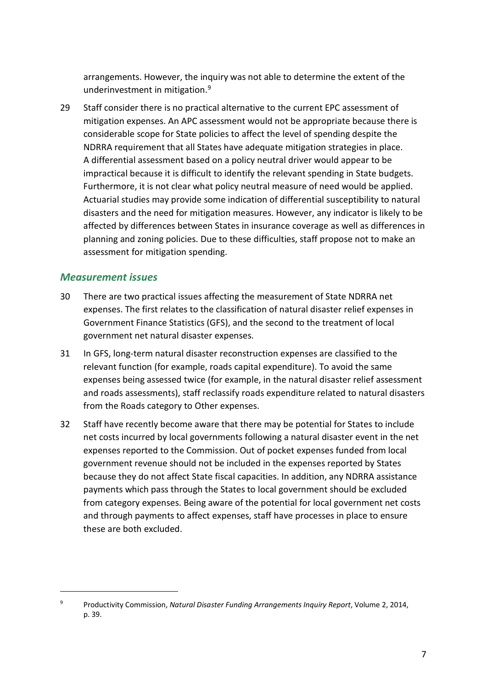arrangements. However, the inquiry was not able to determine the extent of the underinvestment in mitigation. [9](#page-9-0)

29 Staff consider there is no practical alternative to the current EPC assessment of mitigation expenses. An APC assessment would not be appropriate because there is considerable scope for State policies to affect the level of spending despite the NDRRA requirement that all States have adequate mitigation strategies in place. A differential assessment based on a policy neutral driver would appear to be impractical because it is difficult to identify the relevant spending in State budgets. Furthermore, it is not clear what policy neutral measure of need would be applied. Actuarial studies may provide some indication of differential susceptibility to natural disasters and the need for mitigation measures. However, any indicator is likely to be affected by differences between States in insurance coverage as well as differences in planning and zoning policies. Due to these difficulties, staff propose not to make an assessment for mitigation spending.

#### *Measurement issues*

- 30 There are two practical issues affecting the measurement of State NDRRA net expenses. The first relates to the classification of natural disaster relief expenses in Government Finance Statistics (GFS), and the second to the treatment of local government net natural disaster expenses.
- 31 In GFS, long-term natural disaster reconstruction expenses are classified to the relevant function (for example, roads capital expenditure). To avoid the same expenses being assessed twice (for example, in the natural disaster relief assessment and roads assessments), staff reclassify roads expenditure related to natural disasters from the Roads category to Other expenses.
- 32 Staff have recently become aware that there may be potential for States to include net costs incurred by local governments following a natural disaster event in the net expenses reported to the Commission. Out of pocket expenses funded from local government revenue should not be included in the expenses reported by States because they do not affect State fiscal capacities. In addition, any NDRRA assistance payments which pass through the States to local government should be excluded from category expenses. Being aware of the potential for local government net costs and through payments to affect expenses, staff have processes in place to ensure these are both excluded.

<span id="page-9-0"></span><sup>9</sup> Productivity Commission, *Natural Disaster Funding Arrangements Inquiry Report*, Volume 2, 2014, p. 39.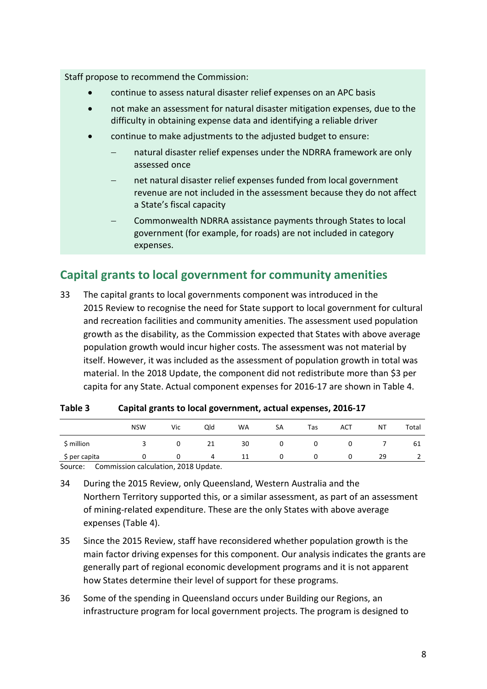Staff propose to recommend the Commission:

- continue to assess natural disaster relief expenses on an APC basis
- not make an assessment for natural disaster mitigation expenses, due to the difficulty in obtaining expense data and identifying a reliable driver
- continue to make adjustments to the adjusted budget to ensure:
	- natural disaster relief expenses under the NDRRA framework are only assessed once
	- net natural disaster relief expenses funded from local government revenue are not included in the assessment because they do not affect a State's fiscal capacity
	- − Commonwealth NDRRA assistance payments through States to local government (for example, for roads) are not included in category expenses.

## <span id="page-10-0"></span>**Capital grants to local government for community amenities**

33 The capital grants to local governments component was introduced in the 2015 Review to recognise the need for State support to local government for cultural and recreation facilities and community amenities. The assessment used population growth as the disability, as the Commission expected that States with above average population growth would incur higher costs. The assessment was not material by itself. However, it was included as the assessment of population growth in total was material. In the 2018 Update, the component did not redistribute more than \$3 per capita for any State. Actual component expenses for 2016-17 are shown in [Table 4.](#page-10-1)

|               | <b>NSW</b> | Vic | Qld | <b>WA</b> | SA | Tas | ACT | NT | Total |
|---------------|------------|-----|-----|-----------|----|-----|-----|----|-------|
| \$ million    |            |     | 21  | 30        |    |     | O   |    | 61    |
| \$ per capita |            |     | 4   | 11        |    |     | O   | 29 | ▵     |

<span id="page-10-1"></span>

| Capital grants to local government, actual expenses, 2016-17<br>Table 3 |
|-------------------------------------------------------------------------|
|-------------------------------------------------------------------------|

Source: Commission calculation, 2018 Update.

- 34 During the 2015 Review, only Queensland, Western Australia and the Northern Territory supported this, or a similar assessment, as part of an assessment of mining-related expenditure. These are the only States with above average expenses [\(Table 4\)](#page-10-1).
- 35 Since the 2015 Review, staff have reconsidered whether population growth is the main factor driving expenses for this component. Our analysis indicates the grants are generally part of regional economic development programs and it is not apparent how States determine their level of support for these programs.
- 36 Some of the spending in Queensland occurs under Building our Regions, an infrastructure program for local government projects. The program is designed to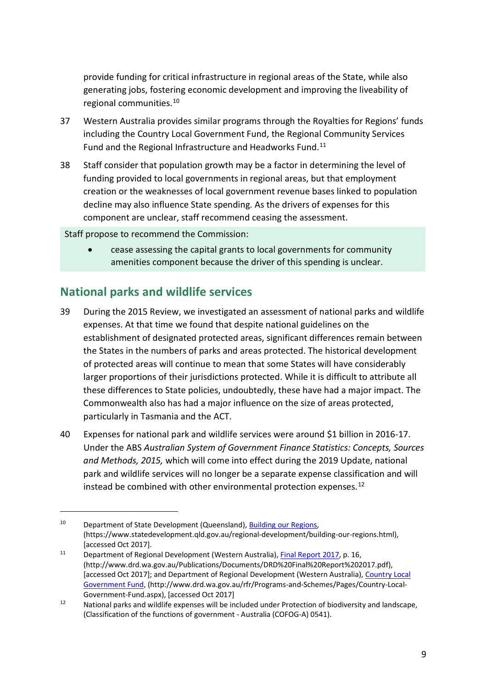provide funding for critical infrastructure in regional areas of the State, while also generating jobs, fostering economic development and improving the liveability of regional communities.[10](#page-11-1)

- 37 Western Australia provides similar programs through the Royalties for Regions' funds including the Country Local Government Fund, the Regional Community Services Fund and the Regional Infrastructure and Headworks Fund.<sup>[11](#page-11-2)</sup>
- 38 Staff consider that population growth may be a factor in determining the level of funding provided to local governments in regional areas, but that employment creation or the weaknesses of local government revenue bases linked to population decline may also influence State spending. As the drivers of expenses for this component are unclear, staff recommend ceasing the assessment.

Staff propose to recommend the Commission:

• cease assessing the capital grants to local governments for community amenities component because the driver of this spending is unclear.

## <span id="page-11-0"></span>**National parks and wildlife services**

- 39 During the 2015 Review, we investigated an assessment of national parks and wildlife expenses. At that time we found that despite national guidelines on the establishment of designated protected areas, significant differences remain between the States in the numbers of parks and areas protected. The historical development of protected areas will continue to mean that some States will have considerably larger proportions of their jurisdictions protected. While it is difficult to attribute all these differences to State policies, undoubtedly, these have had a major impact. The Commonwealth also has had a major influence on the size of areas protected, particularly in Tasmania and the ACT.
- 40 Expenses for national park and wildlife services were around \$1 billion in 2016-17. Under the ABS *Australian System of Government Finance Statistics: Concepts, Sources and Methods, 2015,* which will come into effect during the 2019 Update, national park and wildlife services will no longer be a separate expense classification and will instead be combined with other environmental protection expenses.<sup>[12](#page-11-3)</sup>

<span id="page-11-1"></span><sup>&</sup>lt;sup>10</sup> Department of State Development (Queensland)[, Building our Regions,](https://www.statedevelopment.qld.gov.au/regional-development/building-our-regions.html) (https://www.statedevelopment.qld.gov.au/regional-development/building-our-regions.html), [accessed Oct 2017].

<span id="page-11-2"></span><sup>&</sup>lt;sup>11</sup> Department of Regional Development (Western Australia), [Final Report 2017,](http://www.drd.wa.gov.au/Publications/Documents/DRD%20Final%20Report%202017.pdf) p. 16, (http://www.drd.wa.gov.au/Publications/Documents/DRD%20Final%20Report%202017.pdf), [accessed Oct 2017]; and Department of Regional Development (Western Australia), [Country Local](http://www.drd.wa.gov.au/rfr/Programs-and-Schemes/Pages/Country-Local-Government-Fund.aspx)  [Government Fund,](http://www.drd.wa.gov.au/rfr/Programs-and-Schemes/Pages/Country-Local-Government-Fund.aspx) (http://www.drd.wa.gov.au/rfr/Programs-and-Schemes/Pages/Country-Local-Government-Fund.aspx), [accessed Oct 2017]

<span id="page-11-3"></span><sup>&</sup>lt;sup>12</sup> National parks and wildlife expenses will be included under Protection of biodiversity and landscape, (Classification of the functions of government - Australia (COFOG-A) 0541).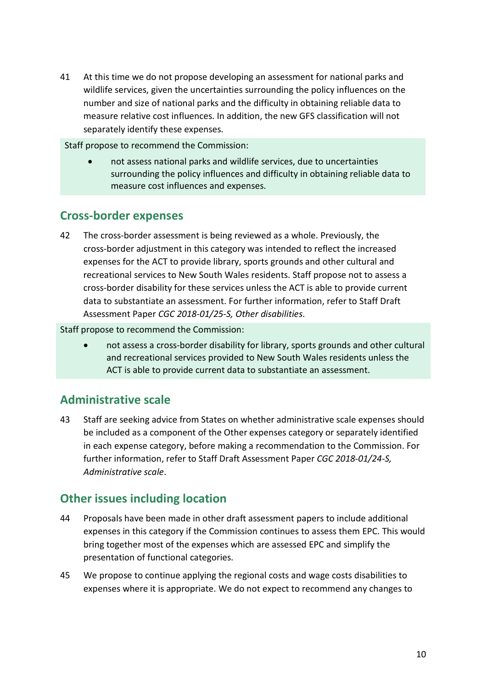41 At this time we do not propose developing an assessment for national parks and wildlife services, given the uncertainties surrounding the policy influences on the number and size of national parks and the difficulty in obtaining reliable data to measure relative cost influences. In addition, the new GFS classification will not separately identify these expenses.

Staff propose to recommend the Commission:

• not assess national parks and wildlife services, due to uncertainties surrounding the policy influences and difficulty in obtaining reliable data to measure cost influences and expenses.

### <span id="page-12-0"></span>**Cross-border expenses**

42 The cross-border assessment is being reviewed as a whole. Previously, the cross-border adjustment in this category was intended to reflect the increased expenses for the ACT to provide library, sports grounds and other cultural and recreational services to New South Wales residents. Staff propose not to assess a cross-border disability for these services unless the ACT is able to provide current data to substantiate an assessment. For further information, refer to Staff Draft Assessment Paper *CGC 2018-01/25-S, Other disabilities*.

Staff propose to recommend the Commission:

• not assess a cross-border disability for library, sports grounds and other cultural and recreational services provided to New South Wales residents unless the ACT is able to provide current data to substantiate an assessment.

## <span id="page-12-1"></span>**Administrative scale**

43 Staff are seeking advice from States on whether administrative scale expenses should be included as a component of the Other expenses category or separately identified in each expense category, before making a recommendation to the Commission. For further information, refer to Staff Draft Assessment Paper *CGC 2018-01/24-S, Administrative scale*.

## <span id="page-12-2"></span>**Other issues including location**

- 44 Proposals have been made in other draft assessment papers to include additional expenses in this category if the Commission continues to assess them EPC. This would bring together most of the expenses which are assessed EPC and simplify the presentation of functional categories.
- 45 We propose to continue applying the regional costs and wage costs disabilities to expenses where it is appropriate. We do not expect to recommend any changes to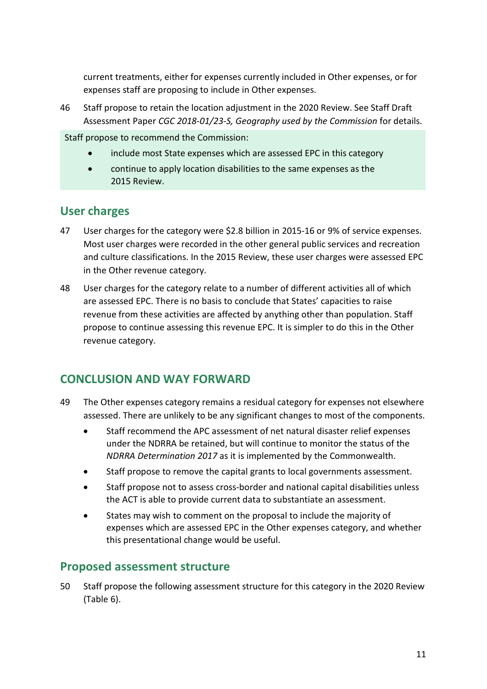current treatments, either for expenses currently included in Other expenses, or for expenses staff are proposing to include in Other expenses.

46 Staff propose to retain the location adjustment in the 2020 Review. See Staff Draft Assessment Paper *CGC 2018-01/23-S, Geography used by the Commission* for details.

Staff propose to recommend the Commission:

- include most State expenses which are assessed EPC in this category
- continue to apply location disabilities to the same expenses as the 2015 Review.

#### <span id="page-13-0"></span>**User charges**

- 47 User charges for the category were \$2.8 billion in 2015-16 or 9% of service expenses. Most user charges were recorded in the other general public services and recreation and culture classifications. In the 2015 Review, these user charges were assessed EPC in the Other revenue category.
- 48 User charges for the category relate to a number of different activities all of which are assessed EPC. There is no basis to conclude that States' capacities to raise revenue from these activities are affected by anything other than population. Staff propose to continue assessing this revenue EPC. It is simpler to do this in the Other revenue category.

### <span id="page-13-1"></span>**CONCLUSION AND WAY FORWARD**

- 49 The Other expenses category remains a residual category for expenses not elsewhere assessed. There are unlikely to be any significant changes to most of the components.
	- Staff recommend the APC assessment of net natural disaster relief expenses under the NDRRA be retained, but will continue to monitor the status of the *NDRRA Determination 2017* as it is implemented by the Commonwealth.
	- Staff propose to remove the capital grants to local governments assessment.
	- Staff propose not to assess cross-border and national capital disabilities unless the ACT is able to provide current data to substantiate an assessment.
	- States may wish to comment on the proposal to include the majority of expenses which are assessed EPC in the Other expenses category, and whether this presentational change would be useful.

### <span id="page-13-2"></span>**Proposed assessment structure**

50 Staff propose the following assessment structure for this category in the 2020 Review [\(Table 6\)](#page-14-1).